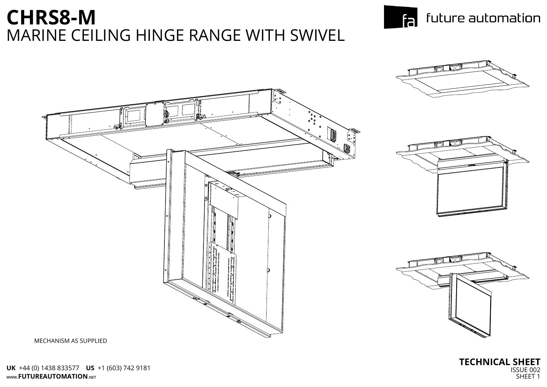MECHANISM AS SUPPLIED

**TECHNICAL SHEET** ISSUE 002 SHEET 1

## **CHRS8-M** MARINE CEILING HINGE RANGE WITH SWIVEL



# $F<sub>2</sub>$  future automation

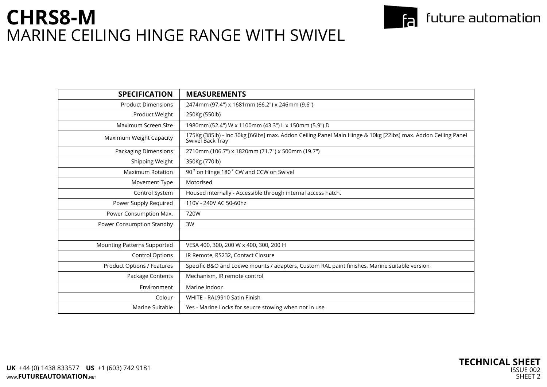| <b>SPECIFICATION</b>               | <b>MEASUREMENTS</b>                                                                                                              |  |  |
|------------------------------------|----------------------------------------------------------------------------------------------------------------------------------|--|--|
|                                    |                                                                                                                                  |  |  |
| <b>Product Dimensions</b>          | 2474mm (97.4") x 1681mm (66.2") x 246mm (9.6")                                                                                   |  |  |
| Product Weight                     | 250Kg (550lb)                                                                                                                    |  |  |
| Maximum Screen Size                | 1980mm (52.4") W x 1100mm (43.3") L x 150mm (5.9") D                                                                             |  |  |
| Maximum Weight Capacity            | 175Kg (385lb) - Inc 30kg [66lbs] max. Addon Ceiling Panel Main Hinge & 10kg [22lbs] max. Addon Ceiling Panel<br>Swivel Back Tray |  |  |
| <b>Packaging Dimensions</b>        | 2710mm (106.7") x 1820mm (71.7") x 500mm (19.7")                                                                                 |  |  |
| Shipping Weight                    | 350Kg (770lb)                                                                                                                    |  |  |
| <b>Maximum Rotation</b>            | 90° on Hinge 180° CW and CCW on Swivel                                                                                           |  |  |
| Movement Type                      | Motorised                                                                                                                        |  |  |
| Control System                     | Housed internally - Accessible through internal access hatch.                                                                    |  |  |
| Power Supply Required              | 110V - 240V AC 50-60hz                                                                                                           |  |  |
| Power Consumption Max.             | 720W                                                                                                                             |  |  |
| Power Consumption Standby          | 3W                                                                                                                               |  |  |
|                                    |                                                                                                                                  |  |  |
| <b>Mounting Patterns Supported</b> | VESA 400, 300, 200 W x 400, 300, 200 H                                                                                           |  |  |
| <b>Control Options</b>             | IR Remote, RS232, Contact Closure                                                                                                |  |  |
| <b>Product Options / Features</b>  | Specific B&O and Loewe mounts / adapters, Custom RAL paint finishes, Marine suitable version                                     |  |  |
| Package Contents                   | Mechanism, IR remote control                                                                                                     |  |  |
| Environment                        | Marine Indoor                                                                                                                    |  |  |
| Colour                             | WHITE - RAL9910 Satin Finish                                                                                                     |  |  |
| Marine Suitable                    | Yes - Marine Locks for seucre stowing when not in use                                                                            |  |  |
|                                    |                                                                                                                                  |  |  |

#### $F<sub>2</sub>$  future automation

| . Addon Ceiling Panel |  |  |  |  |
|-----------------------|--|--|--|--|
|                       |  |  |  |  |
|                       |  |  |  |  |
|                       |  |  |  |  |
|                       |  |  |  |  |
|                       |  |  |  |  |
|                       |  |  |  |  |
|                       |  |  |  |  |
|                       |  |  |  |  |
|                       |  |  |  |  |
|                       |  |  |  |  |
|                       |  |  |  |  |
| ersion                |  |  |  |  |
|                       |  |  |  |  |
|                       |  |  |  |  |
|                       |  |  |  |  |
|                       |  |  |  |  |
|                       |  |  |  |  |



### **CHRS8-M** MARINE CEILING HINGE RANGE WITH SWIVEL

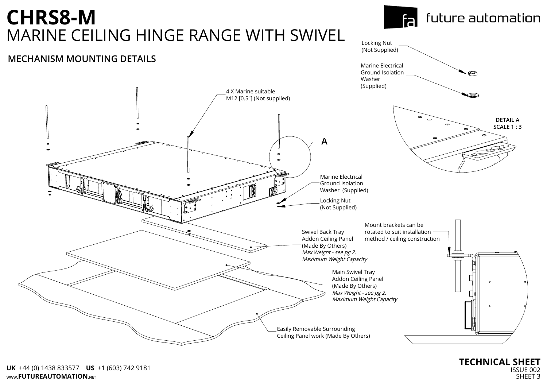

#### Locking Nut (Not Supplied)

Marine Electrical Ground Isolation Washer

#### **MECHANISM MOUNTING DETAILS**



# **CHRS8-M** MARINE CEILING HINGE RANGE WITH SWIVEL

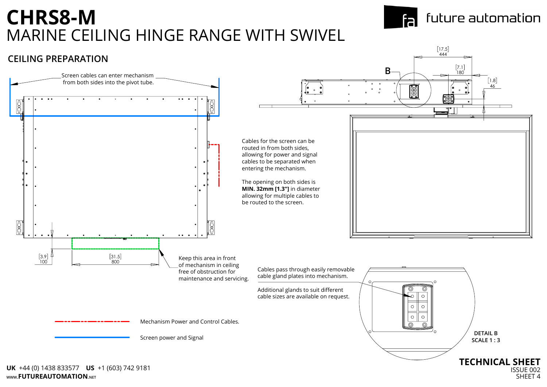ISSUE 002 SHFFT<sub>4</sub>



# **CHRS8-M** MARINE CEILING HINGE RANGE WITH SWIVEL



**WWW.FUTUREAUTOMATION.NET UK** +44 (0) 1438 833577 **US** +1 (603) 742 9181

### future automation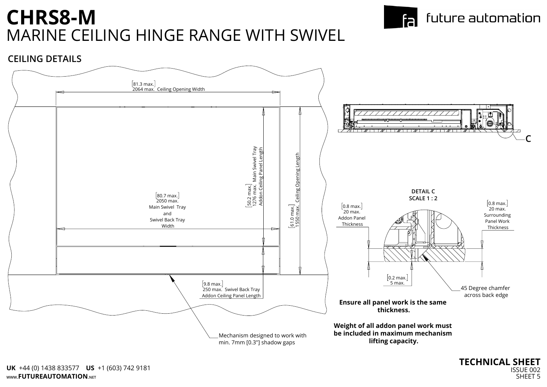

**CEILING DETAILS**



## **CHRS8-M** MARINE CEILING HINGE RANGE WITH SWIVEL



#### future automation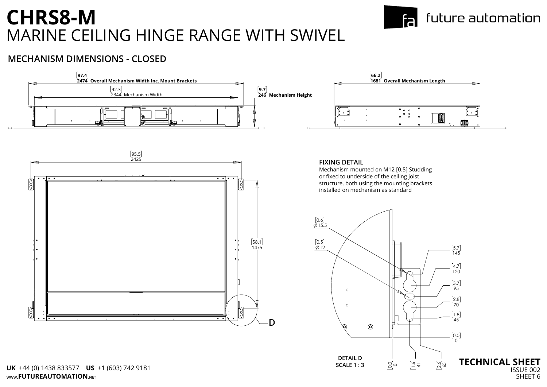95.5 2425  $\overline{\cdot\cdot\cdot}$  $\overline{\phantom{a}}$  $\overline{\phantom{a}}$ 58.1 1475  $\mathbb{Z}$  $\frac{1}{3}$ **D**



#### **FIXING DETAIL**



Mechanism mounted on M12 [0.5] Studding or fixed to underside of the ceiling joist structure, both using the mounting brackets installed on mechanism as standard

#### **MECHANISM DIMENSIONS - CLOSED**

# **CHRS8-M** MARINE CEILING HINGE RANGE WITH SWIVEL



#### future automation

|   | anism Length     |         |  |
|---|------------------|---------|--|
| ۰ |                  |         |  |
| ۰ | '∘∥∘<br>।<br>ه ا | $\circ$ |  |
| ۰ |                  |         |  |